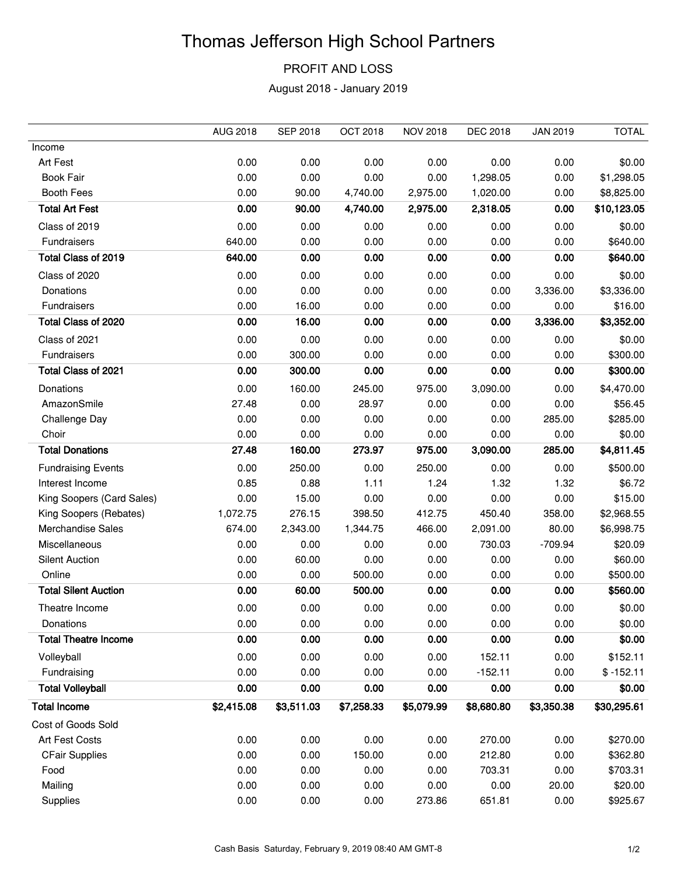## Thomas Jefferson High School Partners

## PROFIT AND LOSS

August 2018 - January 2019

|                             | <b>AUG 2018</b> | <b>SEP 2018</b> | <b>OCT 2018</b> | <b>NOV 2018</b> | <b>DEC 2018</b> | <b>JAN 2019</b> | <b>TOTAL</b> |
|-----------------------------|-----------------|-----------------|-----------------|-----------------|-----------------|-----------------|--------------|
| Income                      |                 |                 |                 |                 |                 |                 |              |
| Art Fest                    | 0.00            | 0.00            | 0.00            | 0.00            | 0.00            | 0.00            | \$0.00       |
| <b>Book Fair</b>            | 0.00            | 0.00            | 0.00            | 0.00            | 1,298.05        | 0.00            | \$1,298.05   |
| <b>Booth Fees</b>           | 0.00            | 90.00           | 4,740.00        | 2,975.00        | 1,020.00        | 0.00            | \$8,825.00   |
| <b>Total Art Fest</b>       | 0.00            | 90.00           | 4,740.00        | 2,975.00        | 2,318.05        | 0.00            | \$10,123.05  |
| Class of 2019               | 0.00            | 0.00            | 0.00            | 0.00            | 0.00            | 0.00            | \$0.00       |
| Fundraisers                 | 640.00          | 0.00            | 0.00            | 0.00            | 0.00            | 0.00            | \$640.00     |
| Total Class of 2019         | 640.00          | 0.00            | 0.00            | 0.00            | 0.00            | 0.00            | \$640.00     |
| Class of 2020               | 0.00            | 0.00            | 0.00            | 0.00            | 0.00            | 0.00            | \$0.00       |
| Donations                   | 0.00            | 0.00            | 0.00            | 0.00            | 0.00            | 3,336.00        | \$3,336.00   |
| Fundraisers                 | 0.00            | 16.00           | 0.00            | 0.00            | 0.00            | 0.00            | \$16.00      |
| Total Class of 2020         | 0.00            | 16.00           | 0.00            | 0.00            | 0.00            | 3,336.00        | \$3,352.00   |
| Class of 2021               | 0.00            | 0.00            | 0.00            | 0.00            | 0.00            | 0.00            | \$0.00       |
| Fundraisers                 | 0.00            | 300.00          | 0.00            | 0.00            | 0.00            | 0.00            | \$300.00     |
| Total Class of 2021         | 0.00            | 300.00          | 0.00            | 0.00            | 0.00            | 0.00            | \$300.00     |
| Donations                   | 0.00            | 160.00          | 245.00          | 975.00          | 3,090.00        | 0.00            | \$4,470.00   |
| AmazonSmile                 | 27.48           | 0.00            | 28.97           | 0.00            | 0.00            | 0.00            | \$56.45      |
| Challenge Day               | 0.00            | 0.00            | 0.00            | 0.00            | 0.00            | 285.00          | \$285.00     |
| Choir                       | 0.00            | 0.00            | 0.00            | 0.00            | 0.00            | 0.00            | \$0.00       |
| <b>Total Donations</b>      | 27.48           | 160.00          | 273.97          | 975.00          | 3,090.00        | 285.00          | \$4,811.45   |
| <b>Fundraising Events</b>   | 0.00            | 250.00          | 0.00            | 250.00          | 0.00            | 0.00            | \$500.00     |
| Interest Income             | 0.85            | 0.88            | 1.11            | 1.24            | 1.32            | 1.32            | \$6.72       |
| King Soopers (Card Sales)   | 0.00            | 15.00           | 0.00            | 0.00            | 0.00            | 0.00            | \$15.00      |
| King Soopers (Rebates)      | 1,072.75        | 276.15          | 398.50          | 412.75          | 450.40          | 358.00          | \$2,968.55   |
| <b>Merchandise Sales</b>    | 674.00          | 2,343.00        | 1,344.75        | 466.00          | 2,091.00        | 80.00           | \$6,998.75   |
| Miscellaneous               | 0.00            | 0.00            | 0.00            | 0.00            | 730.03          | $-709.94$       | \$20.09      |
| <b>Silent Auction</b>       | 0.00            | 60.00           | 0.00            | 0.00            | 0.00            | 0.00            | \$60.00      |
| Online                      | 0.00            | 0.00            | 500.00          | 0.00            | 0.00            | 0.00            | \$500.00     |
| <b>Total Silent Auction</b> | 0.00            | 60.00           | 500.00          | 0.00            | 0.00            | 0.00            | \$560.00     |
| Theatre Income              | 0.00            | 0.00            | 0.00            | 0.00            | 0.00            | 0.00            | \$0.00       |
| Donations                   | 0.00            | 0.00            | 0.00            | 0.00            | 0.00            | 0.00            | \$0.00       |
| <b>Total Theatre Income</b> | 0.00            | 0.00            | 0.00            | 0.00            | 0.00            | 0.00            | \$0.00       |
| Volleyball                  | 0.00            | 0.00            | 0.00            | 0.00            | 152.11          | 0.00            | \$152.11     |
| Fundraising                 | 0.00            | 0.00            | 0.00            | 0.00            | $-152.11$       | 0.00            | $$ -152.11$  |
| <b>Total Volleyball</b>     | 0.00            | 0.00            | 0.00            | 0.00            | 0.00            | 0.00            | \$0.00       |
| <b>Total Income</b>         | \$2,415.08      | \$3,511.03      | \$7,258.33      | \$5,079.99      | \$8,680.80      | \$3,350.38      | \$30,295.61  |
| Cost of Goods Sold          |                 |                 |                 |                 |                 |                 |              |
| Art Fest Costs              | 0.00            | 0.00            | 0.00            | 0.00            | 270.00          | 0.00            | \$270.00     |
| <b>CFair Supplies</b>       | 0.00            | 0.00            | 150.00          | 0.00            | 212.80          | 0.00            | \$362.80     |
| Food                        | 0.00            | 0.00            | 0.00            | 0.00            | 703.31          | 0.00            | \$703.31     |
| Mailing                     | 0.00            | 0.00            | 0.00            | 0.00            | 0.00            | 20.00           | \$20.00      |
| Supplies                    | 0.00            | 0.00            | 0.00            | 273.86          | 651.81          | 0.00            | \$925.67     |